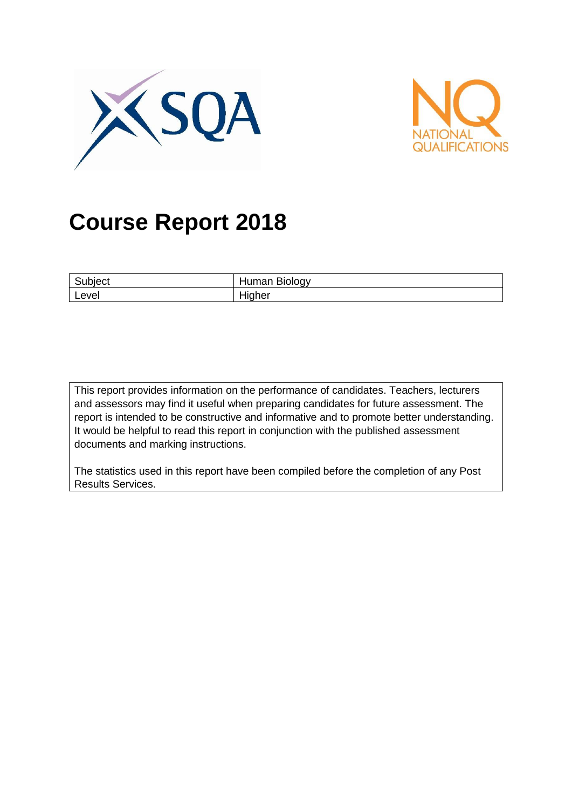



# **Course Report 2018**

| ∽     | <b>Biology</b>      |  |
|-------|---------------------|--|
| песι  | uman                |  |
| Level | .<br>ıher<br>−™<br> |  |

This report provides information on the performance of candidates. Teachers, lecturers and assessors may find it useful when preparing candidates for future assessment. The report is intended to be constructive and informative and to promote better understanding. It would be helpful to read this report in conjunction with the published assessment documents and marking instructions.

The statistics used in this report have been compiled before the completion of any Post Results Services.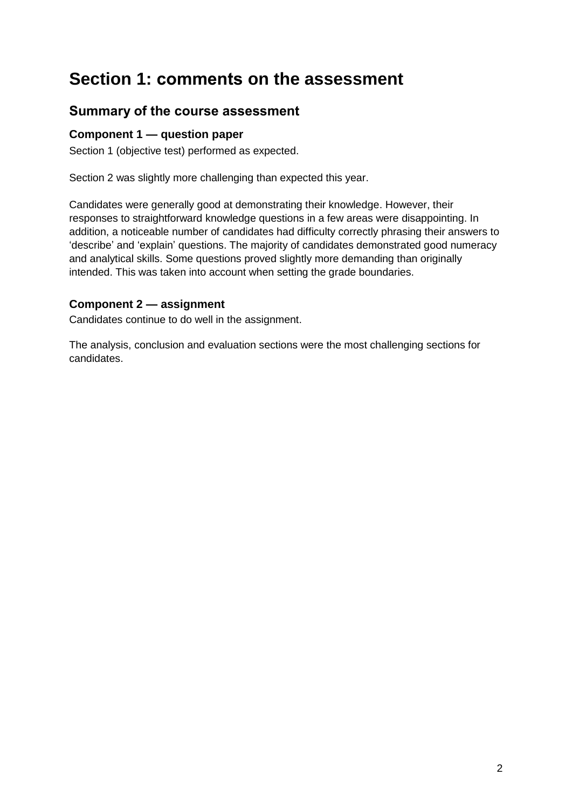## **Section 1: comments on the assessment**

## **Summary of the course assessment**

#### **Component 1 — question paper**

Section 1 (objective test) performed as expected.

Section 2 was slightly more challenging than expected this year.

Candidates were generally good at demonstrating their knowledge. However, their responses to straightforward knowledge questions in a few areas were disappointing. In addition, a noticeable number of candidates had difficulty correctly phrasing their answers to 'describe' and 'explain' questions. The majority of candidates demonstrated good numeracy and analytical skills. Some questions proved slightly more demanding than originally intended. This was taken into account when setting the grade boundaries.

#### **Component 2 — assignment**

Candidates continue to do well in the assignment.

The analysis, conclusion and evaluation sections were the most challenging sections for candidates.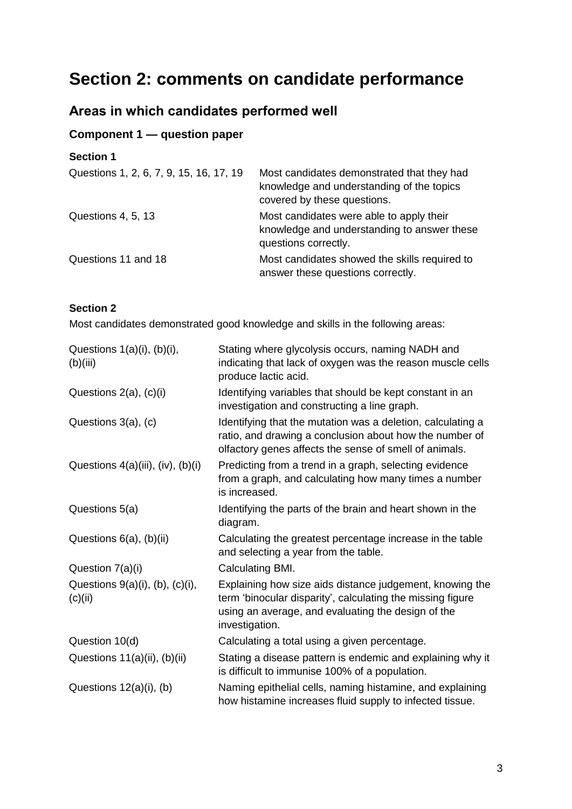## **Section 2: comments on candidate performance**

## **Areas in which candidates performed well**

## **Component 1 — question paper**

| <b>Section 1</b>                        |                                                                                                                        |
|-----------------------------------------|------------------------------------------------------------------------------------------------------------------------|
| Questions 1, 2, 6, 7, 9, 15, 16, 17, 19 | Most candidates demonstrated that they had<br>knowledge and understanding of the topics<br>covered by these questions. |
| Questions 4, 5, 13                      | Most candidates were able to apply their<br>knowledge and understanding to answer these<br>questions correctly.        |
| Questions 11 and 18                     | Most candidates showed the skills required to<br>answer these questions correctly.                                     |

#### **Section 2**

Most candidates demonstrated good knowledge and skills in the following areas:

| Questions $1(a)(i)$ , $(b)(i)$ ,<br>(b)(iii)        | Stating where glycolysis occurs, naming NADH and<br>indicating that lack of oxygen was the reason muscle cells<br>produce lactic acid.                                                         |  |  |
|-----------------------------------------------------|------------------------------------------------------------------------------------------------------------------------------------------------------------------------------------------------|--|--|
| Questions $2(a)$ , $(c)(i)$                         | Identifying variables that should be kept constant in an<br>investigation and constructing a line graph.                                                                                       |  |  |
| Questions 3(a), (c)                                 | Identifying that the mutation was a deletion, calculating a<br>ratio, and drawing a conclusion about how the number of<br>olfactory genes affects the sense of smell of animals.               |  |  |
| Questions 4(a)(iii), (iv), (b)(i)                   | Predicting from a trend in a graph, selecting evidence<br>from a graph, and calculating how many times a number<br>is increased.                                                               |  |  |
| Questions 5(a)                                      | Identifying the parts of the brain and heart shown in the<br>diagram.                                                                                                                          |  |  |
| Questions 6(a), (b)(ii)                             | Calculating the greatest percentage increase in the table<br>and selecting a year from the table.                                                                                              |  |  |
| Question 7(a)(i)                                    | Calculating BMI.                                                                                                                                                                               |  |  |
| Questions $9(a)(i)$ , $(b)$ , $(c)(i)$ ,<br>(c)(ii) | Explaining how size aids distance judgement, knowing the<br>term 'binocular disparity', calculating the missing figure<br>using an average, and evaluating the design of the<br>investigation. |  |  |
| Question 10(d)                                      | Calculating a total using a given percentage.                                                                                                                                                  |  |  |
| Questions 11(a)(ii), (b)(ii)                        | Stating a disease pattern is endemic and explaining why it<br>is difficult to immunise 100% of a population.                                                                                   |  |  |
| Questions $12(a)(i)$ , (b)                          | Naming epithelial cells, naming histamine, and explaining<br>how histamine increases fluid supply to infected tissue.                                                                          |  |  |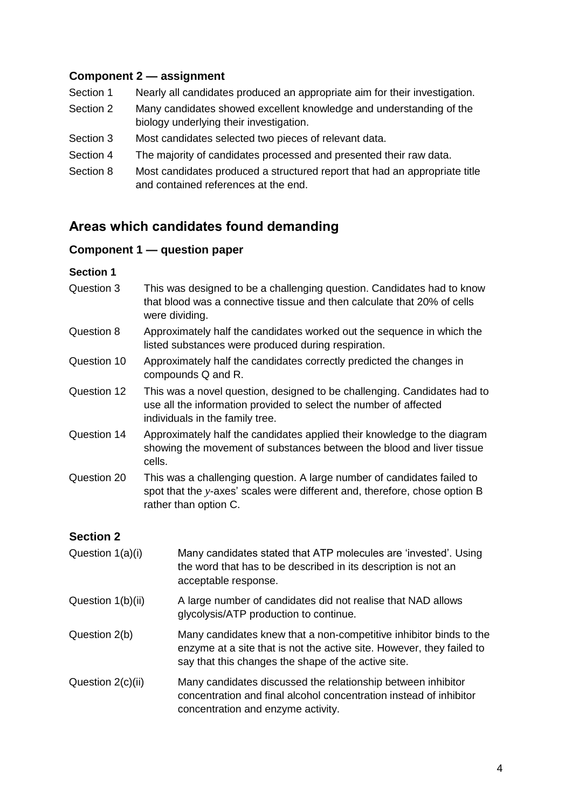#### **Component 2 — assignment**

- Section 1 Nearly all candidates produced an appropriate aim for their investigation.
- Section 2 Many candidates showed excellent knowledge and understanding of the biology underlying their investigation.
- Section 3 Most candidates selected two pieces of relevant data.
- Section 4 The majority of candidates processed and presented their raw data.
- Section 8 Most candidates produced a structured report that had an appropriate title and contained references at the end.

### **Areas which candidates found demanding**

#### **Component 1 — question paper**

#### **Section 1**

- Question 3 This was designed to be a challenging question. Candidates had to know that blood was a connective tissue and then calculate that 20% of cells were dividing.
- Question 8 Approximately half the candidates worked out the sequence in which the listed substances were produced during respiration.
- Question 10 Approximately half the candidates correctly predicted the changes in compounds Q and R.
- Question 12 This was a novel question, designed to be challenging. Candidates had to use all the information provided to select the number of affected individuals in the family tree.
- Question 14 Approximately half the candidates applied their knowledge to the diagram showing the movement of substances between the blood and liver tissue cells.
- Question 20 This was a challenging question. A large number of candidates failed to spot that the *y*-axes' scales were different and, therefore, chose option B rather than option C.

#### **Section 2**

| Question 1(a)(i)  | Many candidates stated that ATP molecules are 'invested'. Using<br>the word that has to be described in its description is not an<br>acceptable response.                                          |
|-------------------|----------------------------------------------------------------------------------------------------------------------------------------------------------------------------------------------------|
| Question 1(b)(ii) | A large number of candidates did not realise that NAD allows<br>glycolysis/ATP production to continue.                                                                                             |
| Question 2(b)     | Many candidates knew that a non-competitive inhibitor binds to the<br>enzyme at a site that is not the active site. However, they failed to<br>say that this changes the shape of the active site. |
| Question 2(c)(ii) | Many candidates discussed the relationship between inhibitor<br>concentration and final alcohol concentration instead of inhibitor<br>concentration and enzyme activity.                           |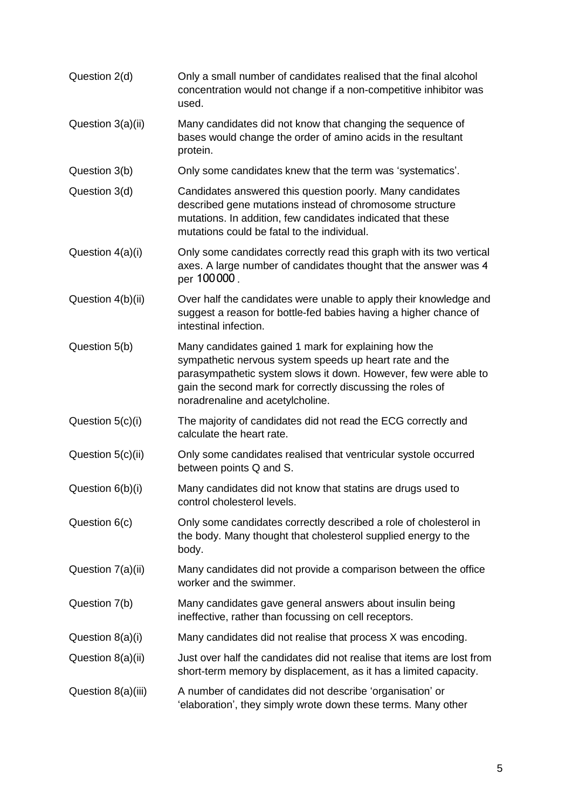Question 2(d) Only a small number of candidates realised that the final alcohol concentration would not change if a non-competitive inhibitor was used. Question 3(a)(ii) Many candidates did not know that changing the sequence of bases would change the order of amino acids in the resultant protein. Question 3(b) Only some candidates knew that the term was 'systematics'. Question 3(d) Candidates answered this question poorly. Many candidates described gene mutations instead of chromosome structure mutations. In addition, few candidates indicated that these mutations could be fatal to the individual. Question 4(a)(i) Only some candidates correctly read this graph with its two vertical axes. A large number of candidates thought that the answer was 4 per 100 000 . Question 4(b)(ii) Over half the candidates were unable to apply their knowledge and suggest a reason for bottle-fed babies having a higher chance of intestinal infection. Question 5(b) Many candidates gained 1 mark for explaining how the sympathetic nervous system speeds up heart rate and the parasympathetic system slows it down. However, few were able to gain the second mark for correctly discussing the roles of noradrenaline and acetylcholine. Question 5(c)(i) The majority of candidates did not read the ECG correctly and calculate the heart rate. Question 5(c)(ii) Only some candidates realised that ventricular systole occurred between points Q and S. Question 6(b)(i) Many candidates did not know that statins are drugs used to control cholesterol levels. Question 6(c) Only some candidates correctly described a role of cholesterol in the body. Many thought that cholesterol supplied energy to the body. Question 7(a)(ii) Many candidates did not provide a comparison between the office worker and the swimmer. Question 7(b) Many candidates gave general answers about insulin being ineffective, rather than focussing on cell receptors. Question  $8(a)(i)$  Many candidates did not realise that process X was encoding. Question 8(a)(ii) Just over half the candidates did not realise that items are lost from short-term memory by displacement, as it has a limited capacity. Question 8(a)(iii) A number of candidates did not describe 'organisation' or 'elaboration', they simply wrote down these terms. Many other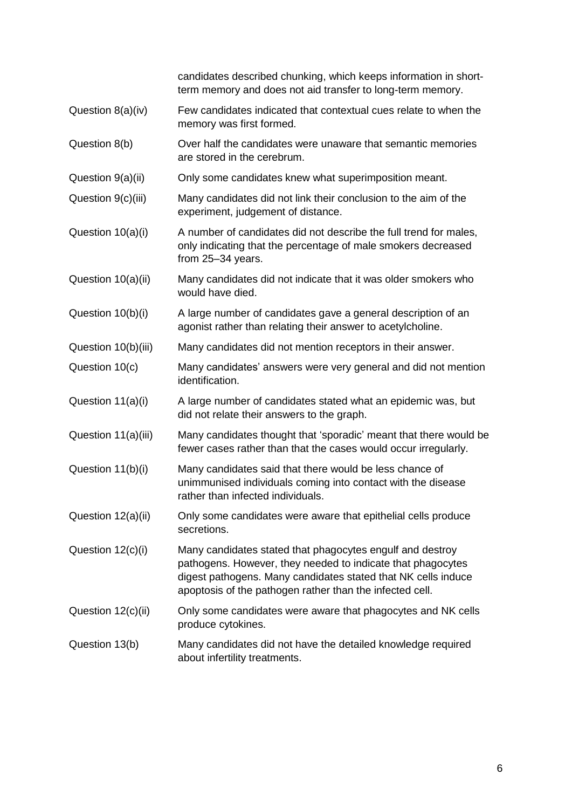|                     | candidates described chunking, which keeps information in short-<br>term memory and does not aid transfer to long-term memory.                                                                                                                        |  |  |
|---------------------|-------------------------------------------------------------------------------------------------------------------------------------------------------------------------------------------------------------------------------------------------------|--|--|
| Question 8(a)(iv)   | Few candidates indicated that contextual cues relate to when the<br>memory was first formed.                                                                                                                                                          |  |  |
| Question 8(b)       | Over half the candidates were unaware that semantic memories<br>are stored in the cerebrum.                                                                                                                                                           |  |  |
| Question 9(a)(ii)   | Only some candidates knew what superimposition meant.                                                                                                                                                                                                 |  |  |
| Question 9(c)(iii)  | Many candidates did not link their conclusion to the aim of the<br>experiment, judgement of distance.                                                                                                                                                 |  |  |
| Question 10(a)(i)   | A number of candidates did not describe the full trend for males,<br>only indicating that the percentage of male smokers decreased<br>from 25-34 years.                                                                                               |  |  |
| Question 10(a)(ii)  | Many candidates did not indicate that it was older smokers who<br>would have died.                                                                                                                                                                    |  |  |
| Question 10(b)(i)   | A large number of candidates gave a general description of an<br>agonist rather than relating their answer to acetylcholine.                                                                                                                          |  |  |
| Question 10(b)(iii) | Many candidates did not mention receptors in their answer.                                                                                                                                                                                            |  |  |
| Question 10(c)      | Many candidates' answers were very general and did not mention<br>identification.                                                                                                                                                                     |  |  |
| Question 11(a)(i)   | A large number of candidates stated what an epidemic was, but<br>did not relate their answers to the graph.                                                                                                                                           |  |  |
| Question 11(a)(iii) | Many candidates thought that 'sporadic' meant that there would be<br>fewer cases rather than that the cases would occur irregularly.                                                                                                                  |  |  |
| Question 11(b)(i)   | Many candidates said that there would be less chance of<br>unimmunised individuals coming into contact with the disease<br>rather than infected individuals.                                                                                          |  |  |
| Question 12(a)(ii)  | Only some candidates were aware that epithelial cells produce<br>secretions.                                                                                                                                                                          |  |  |
| Question 12(c)(i)   | Many candidates stated that phagocytes engulf and destroy<br>pathogens. However, they needed to indicate that phagocytes<br>digest pathogens. Many candidates stated that NK cells induce<br>apoptosis of the pathogen rather than the infected cell. |  |  |
| Question 12(c)(ii)  | Only some candidates were aware that phagocytes and NK cells<br>produce cytokines.                                                                                                                                                                    |  |  |
| Question 13(b)      | Many candidates did not have the detailed knowledge required<br>about infertility treatments.                                                                                                                                                         |  |  |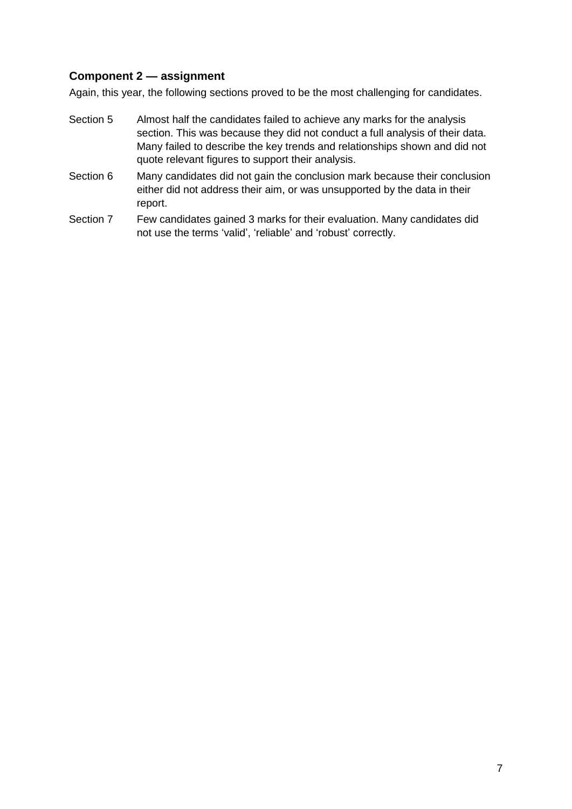#### **Component 2 — assignment**

Again, this year, the following sections proved to be the most challenging for candidates.

- Section 5 Almost half the candidates failed to achieve any marks for the analysis section. This was because they did not conduct a full analysis of their data. Many failed to describe the key trends and relationships shown and did not quote relevant figures to support their analysis.
- Section 6 Many candidates did not gain the conclusion mark because their conclusion either did not address their aim, or was unsupported by the data in their report.
- Section 7 Few candidates gained 3 marks for their evaluation. Many candidates did not use the terms 'valid', 'reliable' and 'robust' correctly.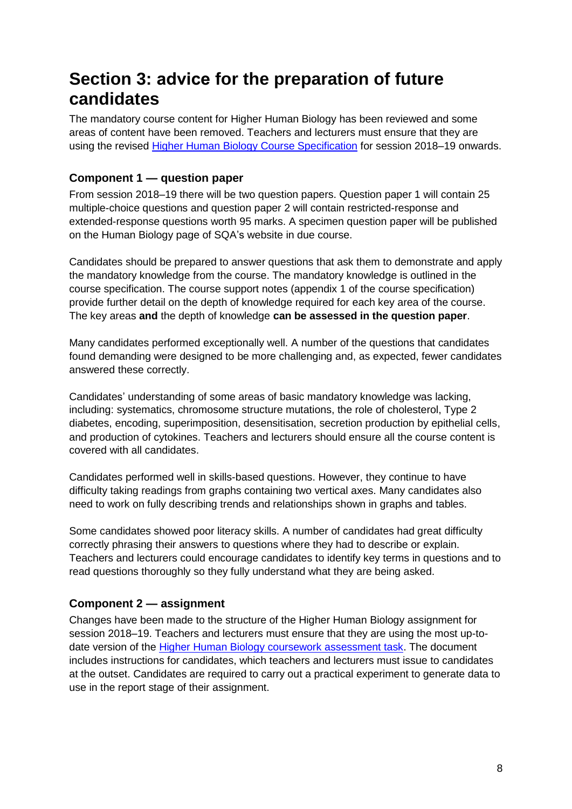## **Section 3: advice for the preparation of future candidates**

The mandatory course content for Higher Human Biology has been reviewed and some areas of content have been removed. Teachers and lecturers must ensure that they are using the revised [Higher Human Biology Course Specification](https://www.sqa.org.uk/files_ccc/HigherCourseSpecHumanBiology.pdf) for session 2018–19 onwards.

#### **Component 1 — question paper**

From session 2018–19 there will be two question papers. Question paper 1 will contain 25 multiple-choice questions and question paper 2 will contain restricted-response and extended-response questions worth 95 marks. A specimen question paper will be published on the Human Biology page of SQA's website in due course.

Candidates should be prepared to answer questions that ask them to demonstrate and apply the mandatory knowledge from the course. The mandatory knowledge is outlined in the course specification. The course support notes (appendix 1 of the course specification) provide further detail on the depth of knowledge required for each key area of the course. The key areas **and** the depth of knowledge **can be assessed in the question paper**.

Many candidates performed exceptionally well. A number of the questions that candidates found demanding were designed to be more challenging and, as expected, fewer candidates answered these correctly.

Candidates' understanding of some areas of basic mandatory knowledge was lacking, including: systematics, chromosome structure mutations, the role of cholesterol, Type 2 diabetes, encoding, superimposition, desensitisation, secretion production by epithelial cells, and production of cytokines. Teachers and lecturers should ensure all the course content is covered with all candidates.

Candidates performed well in skills-based questions. However, they continue to have difficulty taking readings from graphs containing two vertical axes. Many candidates also need to work on fully describing trends and relationships shown in graphs and tables.

Some candidates showed poor literacy skills. A number of candidates had great difficulty correctly phrasing their answers to questions where they had to describe or explain. Teachers and lecturers could encourage candidates to identify key terms in questions and to read questions thoroughly so they fully understand what they are being asked.

#### **Component 2 — assignment**

Changes have been made to the structure of the Higher Human Biology assignment for session 2018–19. Teachers and lecturers must ensure that they are using the most up-todate version of the [Higher Human Biology coursework assessment task.](https://www.sqa.org.uk/files_ccc/HigherCATHumanBiology.pdf) The document includes instructions for candidates, which teachers and lecturers must issue to candidates at the outset. Candidates are required to carry out a practical experiment to generate data to use in the report stage of their assignment.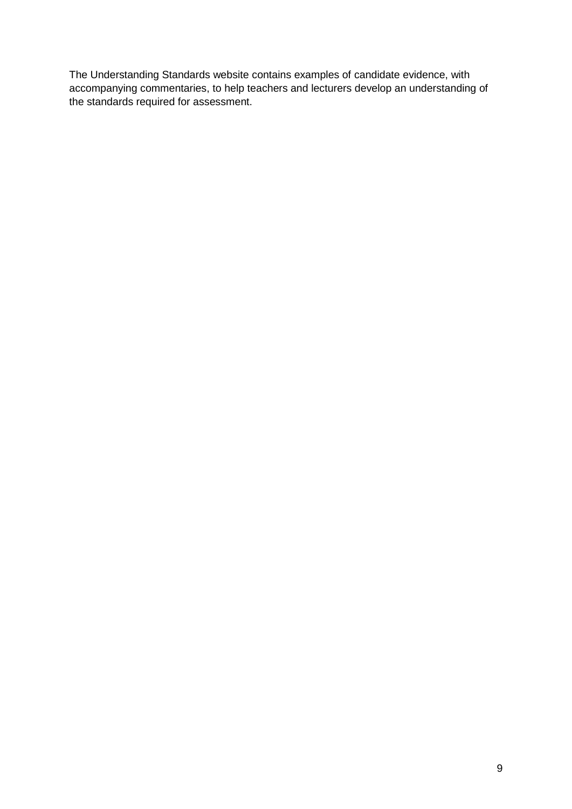The Understanding Standards website contains examples of candidate evidence, with accompanying commentaries, to help teachers and lecturers develop an understanding of the standards required for assessment.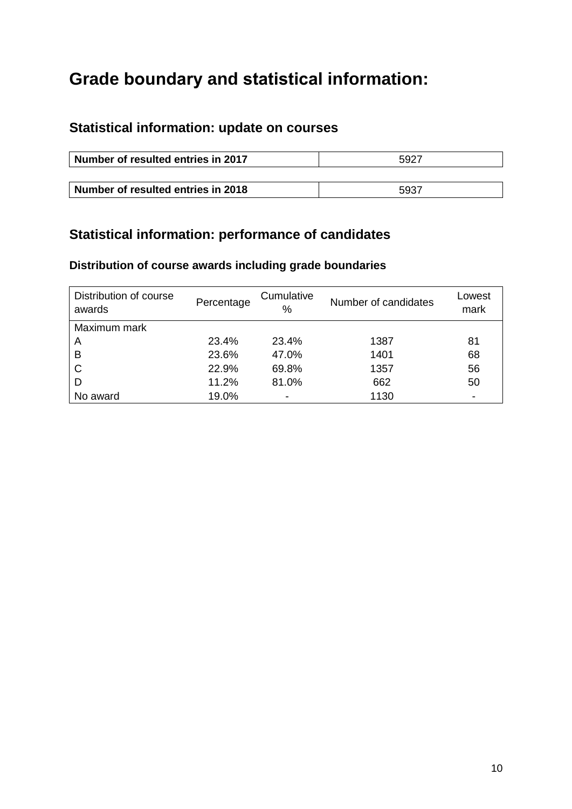## **Grade boundary and statistical information:**

## **Statistical information: update on courses**

| Number of resulted entries in 2017 | 5927 |
|------------------------------------|------|
|                                    |      |
| Number of resulted entries in 2018 | 5937 |

## **Statistical information: performance of candidates**

## **Distribution of course awards including grade boundaries**

| Distribution of course<br>awards | Percentage | Cumulative<br>℅          | Number of candidates | Lowest<br>mark           |
|----------------------------------|------------|--------------------------|----------------------|--------------------------|
| Maximum mark                     |            |                          |                      |                          |
| A                                | 23.4%      | 23.4%                    | 1387                 | 81                       |
| B                                | 23.6%      | 47.0%                    | 1401                 | 68                       |
| $\mathsf{C}$                     | 22.9%      | 69.8%                    | 1357                 | 56                       |
| D                                | 11.2%      | 81.0%                    | 662                  | 50                       |
| No award                         | 19.0%      | $\overline{\phantom{a}}$ | 1130                 | $\overline{\phantom{0}}$ |